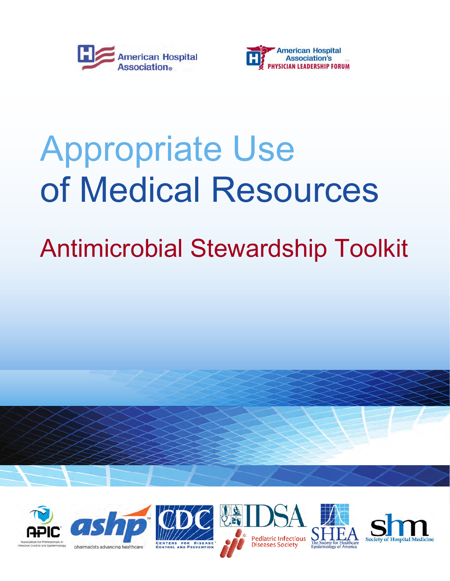



# Appropriate Use of Medical Resources

## Antimicrobial Stewardship Toolkit













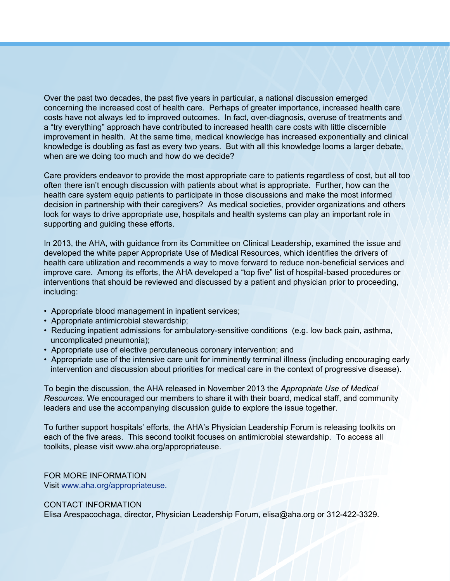Over the past two decades, the past five years in particular, a national discussion emerged concerning the increased cost of health care. Perhaps of greater importance, increased health care costs have not always led to improved outcomes. In fact, over-diagnosis, overuse of treatments and a "try everything" approach have contributed to increased health care costs with little discernible improvement in health. At the same time, medical knowledge has increased exponentially and clinical knowledge is doubling as fast as every two years. But with all this knowledge looms a larger debate, when are we doing too much and how do we decide?

Care providers endeavor to provide the most appropriate care to patients regardless of cost, but all too often there isn't enough discussion with patients about what is appropriate. Further, how can the health care system equip patients to participate in those discussions and make the most informed decision in partnership with their caregivers? As medical societies, provider organizations and others look for ways to drive appropriate use, hospitals and health systems can play an important role in supporting and guiding these efforts.

In 2013, the AHA, with guidance from its Committee on Clinical Leadership, examined the issue and developed the white paper [Appropriate Use of Medical Resources](http://www.ahaphysicianforum.org/resources/appropriate-use/index.shtml), which identifies the drivers of health care utilization and recommends a way to move forward to reduce non-beneficial services and improve care. Among its efforts, the AHA developed a "top five" list of hospital-based procedures or interventions that should be reviewed and discussed by a patient and physician prior to proceeding, including:

- Appropriate blood management in inpatient services;
- Appropriate antimicrobial stewardship;
- Reducing inpatient admissions for ambulatory-sensitive conditions (e.g. low back pain, asthma, uncomplicated pneumonia);
- Appropriate use of elective percutaneous coronary intervention; and
- Appropriate use of the intensive care unit for imminently terminal illness (including encouraging early intervention and discussion about priorities for medical care in the context of progressive disease).

To begin the discussion, the AHA released in November 2013 the *[Appropriate Use of Medical](http://www.ahaphysicianforum.org/resources/appropriate-use/index.shtml)  Resources*. We encouraged our members to share it with their board, medical staff, and community leaders and use the accompanying discussion guide to explore the issue together.

To further support hospitals' efforts, the AHA's Physician Leadership Forum is releasing toolkits on each of the five areas. This second toolkit focuses on antimicrobial stewardship. To access all toolkits, please visit [www.aha.org/appropriateuse.](http://www.ahaphysicianforum.org/resources/appropriate-use/index.shtml) 

FOR MORE INFORMATION Visit [www.aha.org/appropriateuse](http://www.ahaphysicianforum.org/resources/appropriate-use/index.shtml).

CONTACT INFORMATION

Elisa Arespacochaga, director, Physician Leadership Forum, elisa@aha.org or 312-422-3329.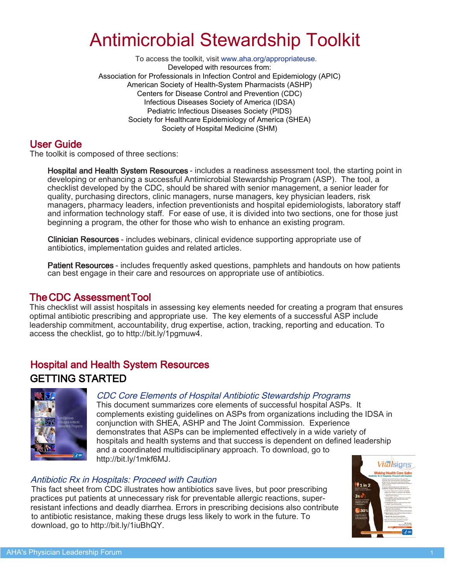### Antimicrobial Stewardship Toolkit

 To access the toolkit, visit [www.aha.org/appropriateuse.](http://www.ahaphysicianforum.org/resources/appropriate-use/index.shtml) Developed with resources from: Association for Professionals in Infection Control and Epidemiology (APIC) American Society of Health-System Pharmacists (ASHP) Centers for Disease Control and Prevention (CDC) Infectious Diseases Society of America (IDSA) Pediatric Infectious Diseases Society (PIDS) Society for Healthcare Epidemiology of America (SHEA) Society of Hospital Medicine (SHM)

#### User Guide

The toolkit is composed of three sections:

Hospital and Health System Resources - includes a readiness assessment tool, the starting point in developing or enhancing a successful Antimicrobial Stewardship Program (ASP). The tool, a checklist developed by the CDC, should be shared with senior management, a senior leader for quality, purchasing directors, clinic managers, nurse managers, key physician leaders, risk managers, pharmacy leaders, infection preventionists and hospital epidemiologists, laboratory staff and information technology staff. For ease of use, it is divided into two sections, one for those just beginning a program, the other for those who wish to enhance an existing program.

Clinician Resources - includes webinars, clinical evidence supporting appropriate use of antibiotics, implementation guides and related articles.

Patient Resources - includes frequently asked questions, pamphlets and handouts on how patients can best engage in their care and resources on appropriate use of antibiotics.

#### [The CDC Assessment Tool](http://bit.ly/1pgmuw4)

This checklist will assist hospitals in assessing key elements needed for creating a program that ensures optimal antibiotic prescribing and appropriate use. The key elements of a successful ASP include leadership commitment, accountability, drug expertise, action, tracking, reporting and education. To access the checklist, go to [http://bit.ly/1pgmuw4.](http://bit.ly/1pgmuw4)

#### Hospital and Health System Resources GETTING STARTED



#### [CDC Core Elements of Hospital Antibiotic Stewardship Programs](http://bit.ly/1mkf6MJ)

This document summarizes core elements of successful hospital ASPs. It complements existing guidelines on ASPs from organizations including the IDSA in conjunction with SHEA, ASHP and The Joint Commission. Experience demonstrates that ASPs can be implemented effectively in a wide variety of hospitals and health systems and that success is dependent on defined leadership and a coordinated multidisciplinary approach. To download, go to [http://bit.ly/1mkf6MJ.](http://bit.ly/1mkf6MJ)

#### [Antibiotic Rx in Hospitals: Proceed with Caution](http://bit.ly/1iuBhQY)

This fact sheet from CDC illustrates how antibiotics save lives, but poor prescribing practices put patients at unnecessary risk for preventable allergic reactions, superresistant infections and deadly diarrhea. Errors in prescribing decisions also contribute to antibiotic resistance, making these drugs less likely to work in the future. To download, go to [http://bit.ly/1iuBhQY.](http://bit.ly/1iuBhQY)

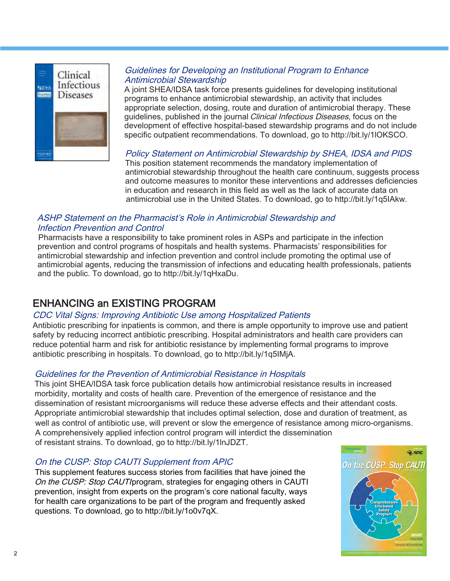

#### [Guidelines for Developing an Institutional Program to Enhance](http://bit.ly/1lOKSCO)  Antimicrobial Stewardship

A joint SHEA/IDSA task force presents guidelines for developing institutional programs to enhance antimicrobial stewardship, an activity that includes appropriate selection, dosing, route and duration of antimicrobial therapy. These guidelines, published in the journal Clinical Infectious Diseases, focus on the development of effective hospital‐based stewardship programs and do not include specific outpatient recommendations. To download, go to [http://bit.ly/1lOKSCO.](http://bit.ly/1lOKSCO)

[Policy Statement on Antimicrobial Stewardship by SHEA, IDSA and PIDS](http://bit.ly/1q5IAkw)  This position statement recommends the mandatory implementation of antimicrobial stewardship throughout the health care continuum, suggests process and outcome measures to monitor these interventions and addresses deficiencies in education and research in this field as well as the lack of accurate data on antimicrobial use in the United States. To download, go to [http://bit.ly/1q5IAkw.](http://bit.ly/1q5IAkw)

#### [ASHP Statement on the Pharmacist's Role in Antimicrobial Stewardship and](http://bit.ly/1qHxaDu)  Infection Prevention and Control

Pharmacists have a responsibility to take prominent roles in ASPs and participate in the infection prevention and control programs of hospitals and health systems. Pharmacists' responsibilities for antimicrobial stewardship and infection prevention and control include promoting the optimal use of antimicrobial agents, reducing the transmission of infections and educating health professionals, patients and the public. To download, go to [http://bit.ly/1qHxaDu.](http://bit.ly/1qHxaDu)

#### ENHANCING an EXISTING PROGRAM

#### [CDC Vital Signs: Improving Antibiotic Use among Hospitalized Patients](http://bit.ly/1q5IMjA)

Antibiotic prescribing for inpatients is common, and there is ample opportunity to improve use and patient safety by reducing incorrect antibiotic prescribing. Hospital administrators and health care providers can reduce potential harm and risk for antibiotic resistance by implementing formal programs to improve antibiotic prescribing in hospitals. To download, go to [http://bit.ly/1q5IMjA.](http://bit.ly/1q5IMjA)

#### [Guidelines for the Prevention of Antimicrobial Resistance in Hospitals](http://bit.ly/1lnJDZT)

This joint SHEA/IDSA task force publication details how antimicrobial resistance results in increased morbidity, mortality and costs of health care. Prevention of the emergence of resistance and the dissemination of resistant microorganisms will reduce these adverse effects and their attendant costs. Appropriate antimicrobial stewardship that includes optimal selection, dose and duration of treatment, as well as control of antibiotic use, will prevent or slow the emergence of resistance among micro-organisms. A comprehensively applied infection control program will interdict the dissemination of resistant strains. To download, go to [http://bit.ly/1lnJDZT.](http://bit.ly/1lnJDZT)

#### [On the CUSP: Stop CAUTI Supplement from APIC](http://bit.ly/1o0v7qX)

This supplement features success stories from facilities that have joined the On the CUSP: Stop CAUTIprogram, strategies for engaging others in CAUTI prevention, insight from experts on the program's core national faculty, ways for health care organizations to be part of the program and frequently asked questions. To download, go to [http://bit.ly/1o0v7qX.](http://bit.ly/1o0v7qX)

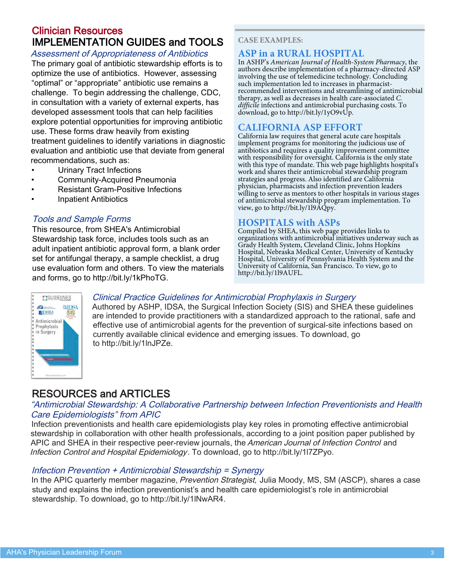#### Clinician Resources IMPLEMENTATION GUIDES and TOOLS

#### Assessment of Appropriateness of Antibiotics

The primary goal of antibiotic stewardship efforts is to optimize the use of antibiotics. However, assessing "optimal" or "appropriate" antibiotic use remains a challenge. To begin addressing the challenge, CDC, in consultation with a variety of external experts, has developed assessment tools that can help facilities explore potential opportunities for improving antibiotic use. These forms draw heavily from existing treatment guidelines to identify variations in diagnostic evaluation and antibiotic use that deviate from general recommendations, such as:

- • [Urinary Tract Infections](http://bit.ly/1iuBXpr)
- • [Community-Acquired Pneumonia](http://bit.ly/TgwExK)
- • [Resistant Gram-Positive Infections](http://bit.ly/1v2XKVt)
- • [Inpatient Antibiotics](http://bit.ly/UH5AsV)

#### [Tools and Sample Forms](http://bit.ly/1kPhoTG)

This resource, from SHEA's Antimicrobial Stewardship task force, includes tools such as an adult inpatient antibiotic approval form, a blank order set for antifungal therapy, a sample checklist, a drug use evaluation form and others. To view the materials and forms, go to<http://bit.ly/1kPhoTG>.

#### **CASE EXAMPLES:**

#### **[ASP in a RURAL HOSPITAL](http://bit.ly/1yO9vUp)**

In ASHP's *American Journal of Health-System Pharmacy*, the authors describe implementation of a pharmacy-directed ASP involving the use of telemedicine technology. Concluding such implementation led to increases in pharmacistrecommended interventions and streamlining of antimicrobial therapy, as well as decreases in health care-associated *C. difficile* infections and antimicrobial purchasing costs. To download, go to [http://bit.ly/1yO9vUp.](http://bit.ly/1yO9vUp)

#### **[CALIFORNIA ASP EFFORT](http://bit.ly/1l9AQpy)**

California law requires that general acute care hospitals implement programs for monitoring the judicious use of antibiotics and requires a quality improvement committee with responsibility for oversight. California is the only state with this type of mandate. This web page highlights hospital's work and shares their antimicrobial stewardship program strategies and progress. Also identified are California physician, pharmacists and infection prevention leaders willing to serve as mentors to other hospitals in various stages of antimicrobial stewardship program implementation. To view, go to [http://bit.ly/1l9AQpy.](http://bit.ly/1l9AQpy)

#### **[HOSPITALS with ASPs](http://bit.ly/1l9AUFL)**

Compiled by SHEA, this web page provides links to organizations with antimicrobial initiatives underway such as Grady Health System, Cleveland Clinic, Johns Hopkins Hospital, Nebraska Medical Center, University of Kentucky Hospital, University of Pennsylvania Health System and the University of California, San Francisco. To view, go to [http://bit.ly/1l9AUFL.](http://bit.ly/1l9AUFL)



#### [Clinical Practice Guidelines for Antimicrobial Prophylaxis in Surgery](http://bit.ly/1lnJPZe)

Authored by ASHP, IDSA, the Surgical Infection Society (SIS) and SHEA these guidelines are intended to provide practitioners with a standardized approach to the rational, safe and effective use of antimicrobial agents for the prevention of surgical-site infections based on currently available clinical evidence and emerging issues. To download, go to [http://bit.ly/1lnJPZe.](http://bit.ly/1lnJPZe)

#### RESOURCES and ARTICLES

#### ["Antimicrobial Stewardship: A Collaborative Partnership between Infection Preventionists and Health](http://bit.ly/1l7ZPyo)  Care Epidemiologists" from APIC

Infection preventionists and health care epidemiologists play key roles in promoting effective antimicrobial stewardship in collaboration with other health professionals, according to a joint position paper published by APIC and SHEA in their respective peer-review journals, the American Journal of Infection Control and Infection Control and Hospital Epidemiology. To download, go to [http://bit.ly/1l7ZPyo.](http://bit.ly/1l7ZPyo)

#### [Infection Prevention + Antimicrobial Stewardship = Synergy](http://bit.ly/1lNwAR4)

In the APIC quarterly member magazine, Prevention Strategist, Julia Moody, MS, SM (ASCP), shares a case study and explains the infection preventionist's and health care epidemiologist's role in antimicrobial stewardship. To download, go to <http://bit.ly/1lNwAR4>.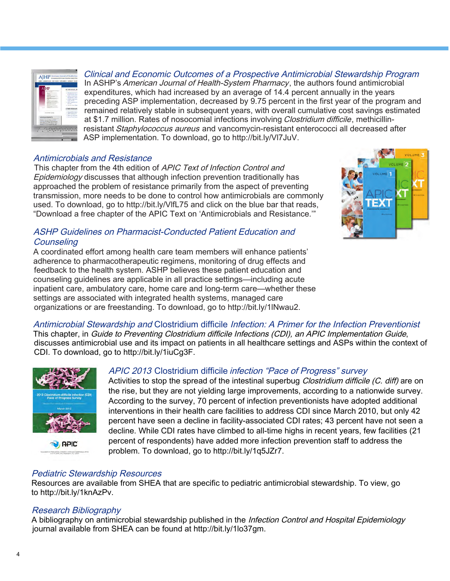

[Clinical and Economic Outcomes of a Prospective Antimicrobial Stewardship Program](http://bit.ly/Vl7JuV) In ASHP's American Journal of Health-System Pharmacy, the authors found antimicrobial expenditures, which had increased by an average of 14.4 percent annually in the years preceding ASP implementation, decreased by 9.75 percent in the first year of the program and remained relatively stable in subsequent years, with overall cumulative cost savings estimated at \$1.7 million. Rates of nosocomial infections involving Clostridium difficile, methicillinresistant Staphylococcus aureus and vancomycin-resistant enterococci all decreased after ASP implementation. To download, go to [http://bit.ly/Vl7JuV.](http://bit.ly/Vl7JuV)

#### [Antimicrobials and Resistance](http://bit.ly/VlfL75)

This chapter from the 4th edition of APIC Text of Infection Control and Epidemiology discusses that although infection prevention traditionally has approached the problem of resistance primarily from the aspect of preventing transmission, more needs to be done to control how antimicrobials are commonly used. To download, go to<http://bit.ly/VlfL75>and click on the blue bar that reads, "Download a free chapter of the APIC Text on 'Antimicrobials and Resistance.'"

#### [ASHP Guidelines on Pharmacist-Conducted Patient Education and](http://bit.ly/1lNwau2)  **Counseling**

A coordinated effort among health care team members will enhance patients' adherence to pharmacotherapeutic regimens, monitoring of drug effects and feedback to the health system. ASHP believes these patient education and counseling guidelines are applicable in all practice settings—including acute inpatient care, ambulatory care, home care and long-term care—whether these settings are associated with integrated health systems, managed care organizations or are freestanding. To download, go to<http://bit.ly/1lNwau2>.



#### Antimicrobial Stewardship and Clostridium difficile [Infection: A Primer for the Infection Preventionist](http://bit.ly/1iuCg3F)  This chapter, in Guide to Preventing Clostridium difficile Infections (CDI), an APIC Implementation Guide, discusses antimicrobial use and its impact on patients in all healthcare settings and ASPs within the context of

CDI. To download, go to [http://bit.ly/1iuCg3F.](http://bit.ly/1iuCg3F)



#### APIC 2013 Clostridium difficile [infection "Pace of Progress" survey](http://bit.ly/1q5JZr7)

Activities to stop the spread of the intestinal superbug *Clostridium difficile (C. diff)* are on the rise, but they are not yielding large improvements, according to a nationwide survey. According to the survey, 70 percent of infection preventionists have adopted additional interventions in their health care facilities to address CDI since March 2010, but only 42 percent have seen a decline in facility-associated CDI rates; 43 percent have not seen a decline. While CDI rates have climbed to all-time highs in recent years, few facilities (21 percent of respondents) have added more infection prevention staff to address the problem. To download, go to [http://bit.ly/1q5JZr7.](http://bit.ly/1q5JZr7)

#### [Pediatric Stewardship Resources](http://bit.ly/1knAzPv)

Resources are available from SHEA that are specific to pediatric antimicrobial stewardship. To view, go to [http://bit.ly/1knAzPv.](http://bit.ly/1knAzPv)

#### [Research Bibliography](http://bit.ly/1lo37gm)

A bibliography on antimicrobial stewardship published in the Infection Control and Hospital Epidemiology journal available from SHEA can be found at [http://bit.ly/1lo37gm.](http://bit.ly/1lo37gm)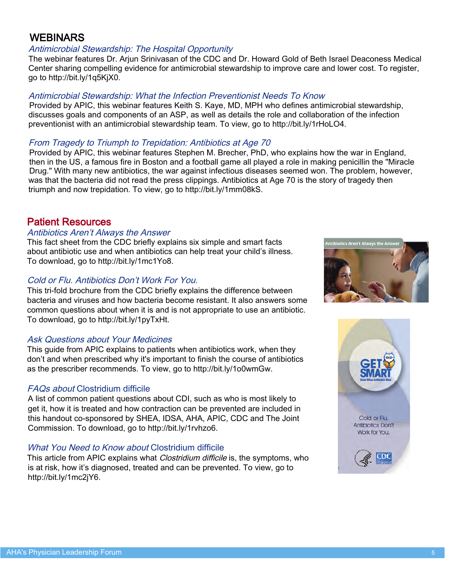#### **WEBINARS**

#### [Antimicrobial Stewardship: The Hospital Opportunity](http://bit.ly/1q5KjX0)

The webinar features Dr. Arjun Srinivasan of the CDC and Dr. Howard Gold of Beth Israel Deaconess Medical Center sharing compelling evidence for antimicrobial stewardship to improve care and lower cost. To register, go to <http://bit.ly/1q5KjX0>.

#### [Antimicrobial Stewardship: What the Infection Preventionist Needs To Know](http://bit.ly/1rHoLO4)

Provided by APIC, this webinar features Keith S. Kaye, MD, MPH who defines antimicrobial stewardship, discusses goals and components of an ASP, as well as details the role and collaboration of the infection preventionist with an antimicrobial stewardship team. To view, go to [http://bit.ly/1rHoLO4.](http://bit.ly/1rHoLO4)

#### [From Tragedy to Triumph to Trepidation: Antibiotics at Age 70](http://bit.ly/1mm08kS)

Provided by APIC, this webinar features Stephen M. Brecher, PhD, who explains how the war in England, then in the US, a famous fire in Boston and a football game all played a role in making penicillin the "Miracle Drug." With many new antibiotics, the war against infectious diseases seemed won. The problem, however, was that the bacteria did not read the press clippings. Antibiotics at Age 70 is the story of tragedy then triumph and now trepidation. To view, go to<http://bit.ly/1mm08kS>.

#### Patient Resources

#### [Antibiotics Aren't Always the Answer](http://bit.ly/1mc1Yo8)

This fact sheet from the CDC briefly explains six simple and smart facts about antibiotic use and when antibiotics can help treat your child's illness. To download, go to<http://bit.ly/1mc1Yo8>.

#### [Cold or Flu. Antibiotics Don't Work For You.](http://bit.ly/1pyTxHt)

This tri-fold brochure from the CDC briefly explains the difference between bacteria and viruses and how bacteria become resistant. It also answers some common questions about when it is and is not appropriate to use an antibiotic. To download, go to [http://bit.ly/1pyTxHt.](http://bit.ly/1pyTxHt)

#### [Ask Questions about Your Medicines](http://bit.ly/1o0wmGw)

This guide from APIC explains to patients when antibiotics work, when they don't and when prescribed why it's important to finish the course of antibiotics as the prescriber recommends. To view, go to [http://bit.ly/1o0wmGw.](http://bit.ly/1o0wmGw)

#### FAQs about [Clostridium difficile](http://bit.ly/1rvhzo6)

A list of common patient questions about CDI, such as who is most likely to get it, how it is treated and how contraction can be prevented are included in this handout co-sponsored by SHEA, IDSA, AHA, APIC, CDC and The Joint Commission. To download, go to [http://bit.ly/1rvhzo6.](http://bit.ly/1rvhzo6)

#### [What You Need to Know about](http://bit.ly/1mc2jY6) Clostridium difficile

This article from APIC explains what *Clostridium difficile* is, the symptoms, who is at risk, how it's diagnosed, treated and can be prevented. To view, go to [http://bit.ly/1mc2jY6.](http://bit.ly/1mc2jY6)